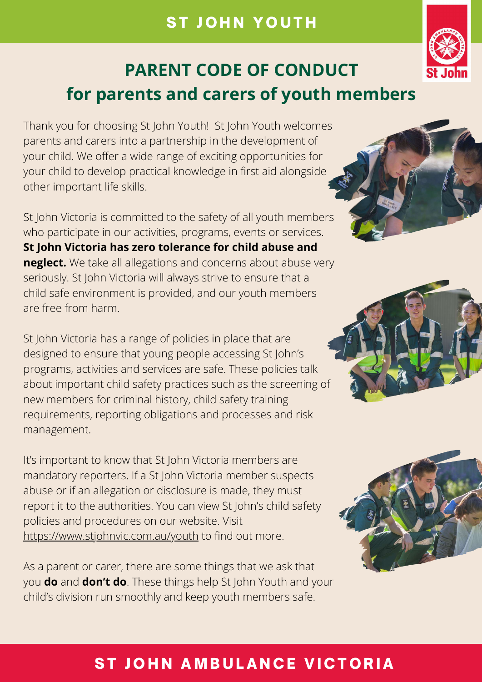Thank you for choosing St John Youth! St John Youth welcomes parents and carers into a partnership in the development of your child. We offer a wide range of exciting opportunities for your child to develop practical knowledge in first aid alongside other important life skills.

St John Victoria is committed to the safety of all youth members who participate in our activities, programs, events or services. **St John Victoria has zero tolerance for child abuse and neglect.** We take all allegations and concerns about abuse very seriously. St John Victoria will always strive to ensure that a child safe environment is provided, and our youth members are free from harm.

It's important to know that St John Victoria members are mandatory reporters. If a St John Victoria member suspects abuse or if an allegation or disclosure is made, they must report it to the authorities. You can view St John's child safety policies and procedures on our website. Visit <https://www.stjohnvic.com.au/youth>to find out more.

St John Victoria has a range of policies in place that are designed to ensure that young people accessing St John's





programs, activities and services are safe. These policies talk about important child safety practices such as the screening of new members for criminal history, child safety training requirements, reporting obligations and processes and risk management.

As a parent or carer, there are some things that we ask that you **do** and **don't do**. These things help St John Youth and your child's division run smoothly and keep youth members safe.



#### ST JOHN AMBULANCE VICTORIA

## ST JOHN YOUTH



# **PARENT CODE OF CONDUCT for parents and carers of youth members**